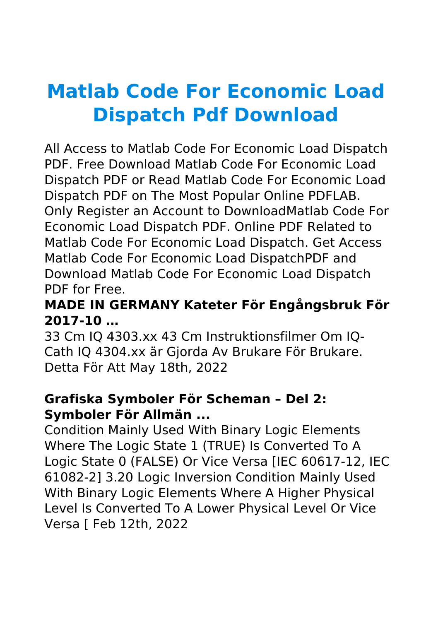# **Matlab Code For Economic Load Dispatch Pdf Download**

All Access to Matlab Code For Economic Load Dispatch PDF. Free Download Matlab Code For Economic Load Dispatch PDF or Read Matlab Code For Economic Load Dispatch PDF on The Most Popular Online PDFLAB. Only Register an Account to DownloadMatlab Code For Economic Load Dispatch PDF. Online PDF Related to Matlab Code For Economic Load Dispatch. Get Access Matlab Code For Economic Load DispatchPDF and Download Matlab Code For Economic Load Dispatch PDF for Free.

## **MADE IN GERMANY Kateter För Engångsbruk För 2017-10 …**

33 Cm IQ 4303.xx 43 Cm Instruktionsfilmer Om IQ-Cath IQ 4304.xx är Gjorda Av Brukare För Brukare. Detta För Att May 18th, 2022

## **Grafiska Symboler För Scheman – Del 2: Symboler För Allmän ...**

Condition Mainly Used With Binary Logic Elements Where The Logic State 1 (TRUE) Is Converted To A Logic State 0 (FALSE) Or Vice Versa [IEC 60617-12, IEC 61082-2] 3.20 Logic Inversion Condition Mainly Used With Binary Logic Elements Where A Higher Physical Level Is Converted To A Lower Physical Level Or Vice Versa [ Feb 12th, 2022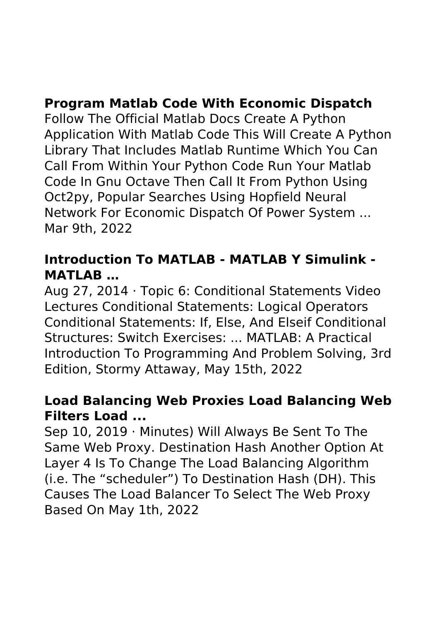# **Program Matlab Code With Economic Dispatch**

Follow The Official Matlab Docs Create A Python Application With Matlab Code This Will Create A Python Library That Includes Matlab Runtime Which You Can Call From Within Your Python Code Run Your Matlab Code In Gnu Octave Then Call It From Python Using Oct2py, Popular Searches Using Hopfield Neural Network For Economic Dispatch Of Power System ... Mar 9th, 2022

## **Introduction To MATLAB - MATLAB Y Simulink - MATLAB …**

Aug 27, 2014 · Topic 6: Conditional Statements Video Lectures Conditional Statements: Logical Operators Conditional Statements: If, Else, And Elseif Conditional Structures: Switch Exercises: ... MATLAB: A Practical Introduction To Programming And Problem Solving, 3rd Edition, Stormy Attaway, May 15th, 2022

#### **Load Balancing Web Proxies Load Balancing Web Filters Load ...**

Sep 10, 2019 · Minutes) Will Always Be Sent To The Same Web Proxy. Destination Hash Another Option At Layer 4 Is To Change The Load Balancing Algorithm (i.e. The "scheduler") To Destination Hash (DH). This Causes The Load Balancer To Select The Web Proxy Based On May 1th, 2022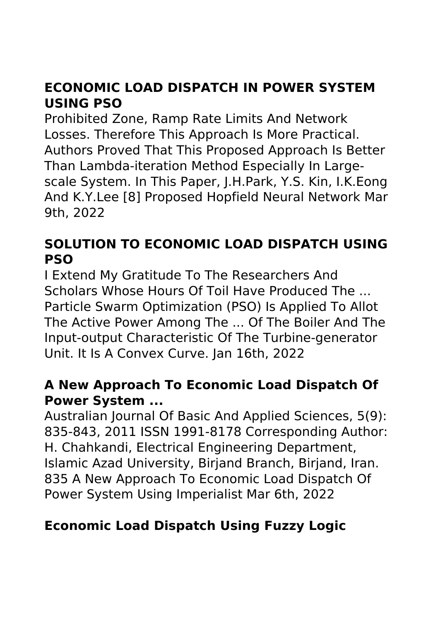# **ECONOMIC LOAD DISPATCH IN POWER SYSTEM USING PSO**

Prohibited Zone, Ramp Rate Limits And Network Losses. Therefore This Approach Is More Practical. Authors Proved That This Proposed Approach Is Better Than Lambda-iteration Method Especially In Largescale System. In This Paper, J.H.Park, Y.S. Kin, I.K.Eong And K.Y.Lee [8] Proposed Hopfield Neural Network Mar 9th, 2022

# **SOLUTION TO ECONOMIC LOAD DISPATCH USING PSO**

I Extend My Gratitude To The Researchers And Scholars Whose Hours Of Toil Have Produced The ... Particle Swarm Optimization (PSO) Is Applied To Allot The Active Power Among The ... Of The Boiler And The Input-output Characteristic Of The Turbine-generator Unit. It Is A Convex Curve. Jan 16th, 2022

## **A New Approach To Economic Load Dispatch Of Power System ...**

Australian Journal Of Basic And Applied Sciences, 5(9): 835-843, 2011 ISSN 1991-8178 Corresponding Author: H. Chahkandi, Electrical Engineering Department, Islamic Azad University, Birjand Branch, Birjand, Iran. 835 A New Approach To Economic Load Dispatch Of Power System Using Imperialist Mar 6th, 2022

# **Economic Load Dispatch Using Fuzzy Logic**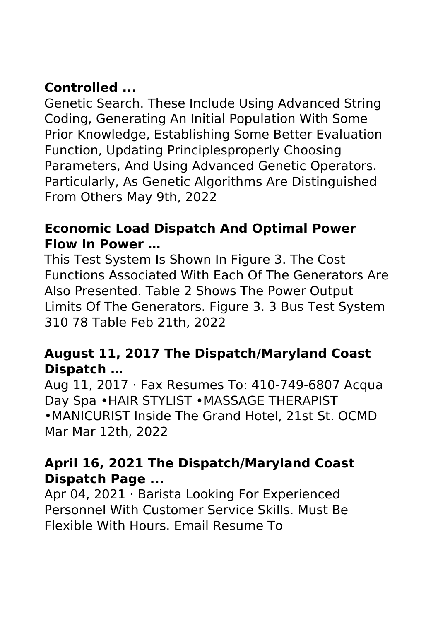# **Controlled ...**

Genetic Search. These Include Using Advanced String Coding, Generating An Initial Population With Some Prior Knowledge, Establishing Some Better Evaluation Function, Updating Principlesproperly Choosing Parameters, And Using Advanced Genetic Operators. Particularly, As Genetic Algorithms Are Distinguished From Others May 9th, 2022

## **Economic Load Dispatch And Optimal Power Flow In Power …**

This Test System Is Shown In Figure 3. The Cost Functions Associated With Each Of The Generators Are Also Presented. Table 2 Shows The Power Output Limits Of The Generators. Figure 3. 3 Bus Test System 310 78 Table Feb 21th, 2022

## **August 11, 2017 The Dispatch/Maryland Coast Dispatch …**

Aug 11, 2017 · Fax Resumes To: 410-749-6807 Acqua Day Spa •HAIR STYLIST •MASSAGE THERAPIST •MANICURIST Inside The Grand Hotel, 21st St. OCMD Mar Mar 12th, 2022

## **April 16, 2021 The Dispatch/Maryland Coast Dispatch Page ...**

Apr 04, 2021 · Barista Looking For Experienced Personnel With Customer Service Skills. Must Be Flexible With Hours. Email Resume To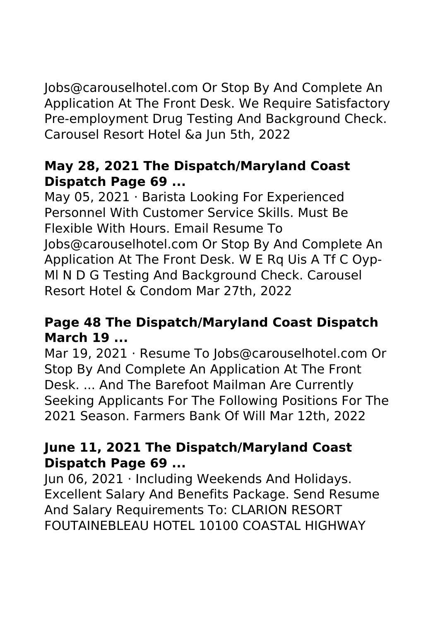Jobs@carouselhotel.com Or Stop By And Complete An Application At The Front Desk. We Require Satisfactory Pre-employment Drug Testing And Background Check. Carousel Resort Hotel &a Jun 5th, 2022

## **May 28, 2021 The Dispatch/Maryland Coast Dispatch Page 69 ...**

May 05, 2021 · Barista Looking For Experienced Personnel With Customer Service Skills. Must Be Flexible With Hours. Email Resume To Jobs@carouselhotel.com Or Stop By And Complete An Application At The Front Desk. W E Rq Uis A Tf C Oyp-Ml N D G Testing And Background Check. Carousel Resort Hotel & Condom Mar 27th, 2022

## **Page 48 The Dispatch/Maryland Coast Dispatch March 19 ...**

Mar 19, 2021 · Resume To Jobs@carouselhotel.com Or Stop By And Complete An Application At The Front Desk. ... And The Barefoot Mailman Are Currently Seeking Applicants For The Following Positions For The 2021 Season. Farmers Bank Of Will Mar 12th, 2022

## **June 11, 2021 The Dispatch/Maryland Coast Dispatch Page 69 ...**

Jun 06, 2021 · Including Weekends And Holidays. Excellent Salary And Benefits Package. Send Resume And Salary Requirements To: CLARION RESORT FOUTAINEBLEAU HOTEL 10100 COASTAL HIGHWAY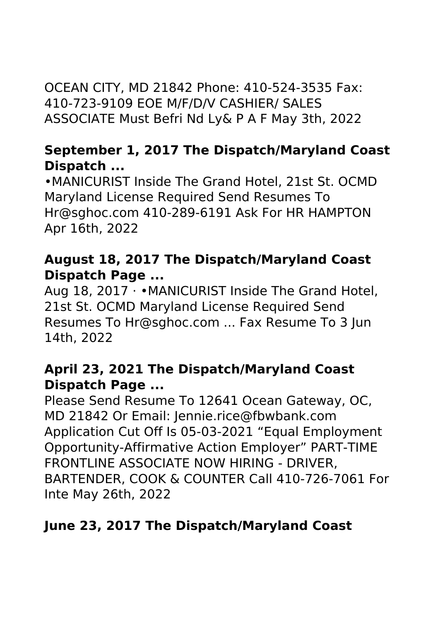OCEAN CITY, MD 21842 Phone: 410-524-3535 Fax: 410-723-9109 EOE M/F/D/V CASHIER/ SALES ASSOCIATE Must Befri Nd Ly& P A F May 3th, 2022

## **September 1, 2017 The Dispatch/Maryland Coast Dispatch ...**

•MANICURIST Inside The Grand Hotel, 21st St. OCMD Maryland License Required Send Resumes To Hr@sghoc.com 410-289-6191 Ask For HR HAMPTON Apr 16th, 2022

## **August 18, 2017 The Dispatch/Maryland Coast Dispatch Page ...**

Aug 18, 2017 · •MANICURIST Inside The Grand Hotel, 21st St. OCMD Maryland License Required Send Resumes To Hr@sghoc.com ... Fax Resume To 3 Jun 14th, 2022

## **April 23, 2021 The Dispatch/Maryland Coast Dispatch Page ...**

Please Send Resume To 12641 Ocean Gateway, OC, MD 21842 Or Email: Jennie.rice@fbwbank.com Application Cut Off Is 05-03-2021 "Equal Employment Opportunity-Affirmative Action Employer" PART-TIME FRONTLINE ASSOCIATE NOW HIRING - DRIVER, BARTENDER, COOK & COUNTER Call 410-726-7061 For Inte May 26th, 2022

# **June 23, 2017 The Dispatch/Maryland Coast**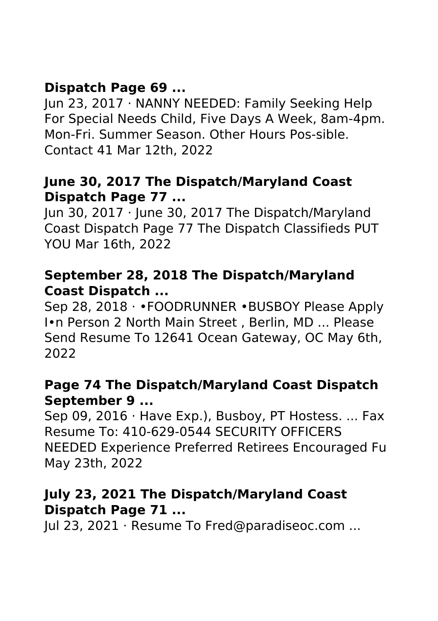# **Dispatch Page 69 ...**

Jun 23, 2017 · NANNY NEEDED: Family Seeking Help For Special Needs Child, Five Days A Week, 8am-4pm. Mon-Fri. Summer Season. Other Hours Pos-sible. Contact 41 Mar 12th, 2022

#### **June 30, 2017 The Dispatch/Maryland Coast Dispatch Page 77 ...**

Jun 30, 2017 · June 30, 2017 The Dispatch/Maryland Coast Dispatch Page 77 The Dispatch Classifieds PUT YOU Mar 16th, 2022

## **September 28, 2018 The Dispatch/Maryland Coast Dispatch ...**

Sep 28, 2018 · •FOODRUNNER •BUSBOY Please Apply I•n Person 2 North Main Street , Berlin, MD ... Please Send Resume To 12641 Ocean Gateway, OC May 6th, 2022

## **Page 74 The Dispatch/Maryland Coast Dispatch September 9 ...**

Sep 09, 2016 · Have Exp.), Busboy, PT Hostess. ... Fax Resume To: 410-629-0544 SECURITY OFFICERS NEEDED Experience Preferred Retirees Encouraged Fu May 23th, 2022

## **July 23, 2021 The Dispatch/Maryland Coast Dispatch Page 71 ...**

Jul 23, 2021 · Resume To Fred@paradiseoc.com ...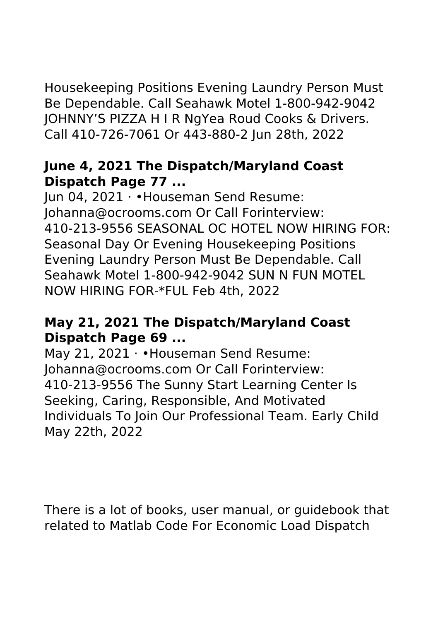Housekeeping Positions Evening Laundry Person Must Be Dependable. Call Seahawk Motel 1-800-942-9042 JOHNNY'S PIZZA H I R NgYea Roud Cooks & Drivers. Call 410-726-7061 Or 443-880-2 Jun 28th, 2022

## **June 4, 2021 The Dispatch/Maryland Coast Dispatch Page 77 ...**

Jun 04, 2021 · •Houseman Send Resume: Johanna@ocrooms.com Or Call Forinterview: 410-213-9556 SEASONAL OC HOTEL NOW HIRING FOR: Seasonal Day Or Evening Housekeeping Positions Evening Laundry Person Must Be Dependable. Call Seahawk Motel 1-800-942-9042 SUN N FUN MOTEL NOW HIRING FOR-\*FUL Feb 4th, 2022

## **May 21, 2021 The Dispatch/Maryland Coast Dispatch Page 69 ...**

May 21, 2021 • Houseman Send Resume: Johanna@ocrooms.com Or Call Forinterview: 410-213-9556 The Sunny Start Learning Center Is Seeking, Caring, Responsible, And Motivated Individuals To Join Our Professional Team. Early Child May 22th, 2022

There is a lot of books, user manual, or guidebook that related to Matlab Code For Economic Load Dispatch